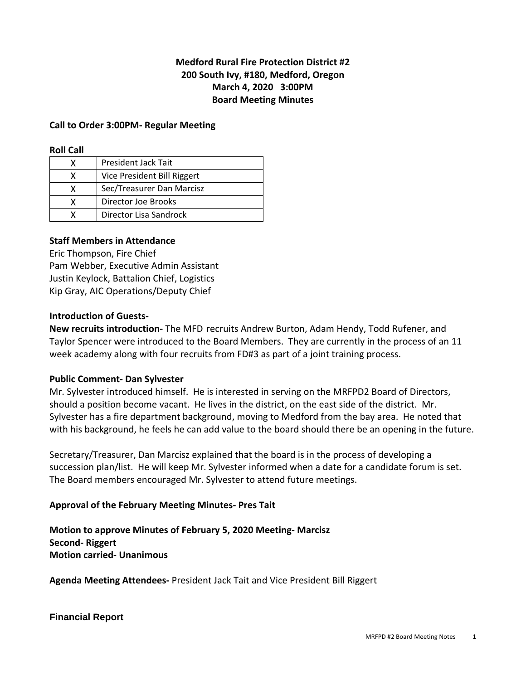# **Medford Rural Fire Protection District #2 200 South Ivy, #180, Medford, Oregon March 4, 2020 3:00PM Board Meeting Minutes**

### **Call to Order 3:00PM- Regular Meeting**

#### **Roll Call**

|   | <b>President Jack Tait</b>  |
|---|-----------------------------|
|   | Vice President Bill Riggert |
|   | Sec/Treasurer Dan Marcisz   |
| x | Director Joe Brooks         |
|   | Director Lisa Sandrock      |

### **Staff Members in Attendance**

Eric Thompson, Fire Chief Pam Webber, Executive Admin Assistant Justin Keylock, Battalion Chief, Logistics Kip Gray, AIC Operations/Deputy Chief

### **Introduction of Guests-**

**New recruits introduction-** The MFD recruits Andrew Burton, Adam Hendy, Todd Rufener, and Taylor Spencer were introduced to the Board Members. They are currently in the process of an 11 week academy along with four recruits from FD#3 as part of a joint training process.

#### **Public Comment- Dan Sylvester**

Mr. Sylvester introduced himself. He is interested in serving on the MRFPD2 Board of Directors, should a position become vacant. He lives in the district, on the east side of the district. Mr. Sylvester has a fire department background, moving to Medford from the bay area. He noted that with his background, he feels he can add value to the board should there be an opening in the future.

Secretary/Treasurer, Dan Marcisz explained that the board is in the process of developing a succession plan/list. He will keep Mr. Sylvester informed when a date for a candidate forum is set. The Board members encouraged Mr. Sylvester to attend future meetings.

## **Approval of the February Meeting Minutes- Pres Tait**

**Motion to approve Minutes of February 5, 2020 Meeting- Marcisz Second- Riggert Motion carried- Unanimous** 

**Agenda Meeting Attendees-** President Jack Tait and Vice President Bill Riggert

#### **Financial Report**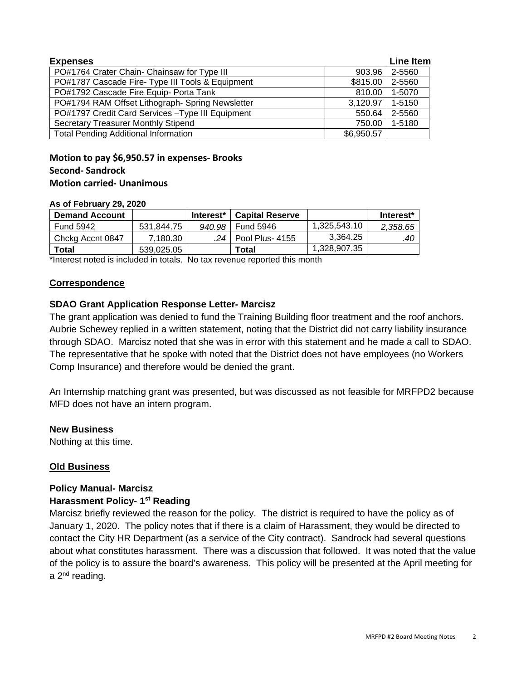| <b>Expenses</b>                                   |            |        |  |
|---------------------------------------------------|------------|--------|--|
| PO#1764 Crater Chain- Chainsaw for Type III       | 903.96     | 2-5560 |  |
| PO#1787 Cascade Fire- Type III Tools & Equipment  | \$815.00   | 2-5560 |  |
| PO#1792 Cascade Fire Equip- Porta Tank            | 810.00     | 1-5070 |  |
| PO#1794 RAM Offset Lithograph- Spring Newsletter  | 3,120.97   | 1-5150 |  |
| PO#1797 Credit Card Services - Type III Equipment | 550.64     | 2-5560 |  |
| <b>Secretary Treasurer Monthly Stipend</b>        | 750.00     | 1-5180 |  |
| <b>Total Pending Additional Information</b>       | \$6,950.57 |        |  |

# **Motion to pay \$6,950.57 in expenses- Brooks Second- Sandrock Motion carried- Unanimous**

#### **As of February 29, 2020**

| <b>Demand Account</b> |            | Interest* | <b>Capital Reserve</b> |              | Interest* |
|-----------------------|------------|-----------|------------------------|--------------|-----------|
| <b>Fund 5942</b>      | 531.844.75 | 940.98    | Fund 5946              | 1,325,543.10 | 2,358.65  |
| Chckg Accnt 0847      | 7.180.30   |           | .24   Pool Plus- 4155  | 3.364.25     | .40       |
| Total                 | 539.025.05 |           | Total                  | 1,328,907.35 |           |

\*Interest noted is included in totals. No tax revenue reported this month

### **Correspondence**

## **SDAO Grant Application Response Letter- Marcisz**

The grant application was denied to fund the Training Building floor treatment and the roof anchors. Aubrie Schewey replied in a written statement, noting that the District did not carry liability insurance through SDAO. Marcisz noted that she was in error with this statement and he made a call to SDAO. The representative that he spoke with noted that the District does not have employees (no Workers Comp Insurance) and therefore would be denied the grant.

An Internship matching grant was presented, but was discussed as not feasible for MRFPD2 because MFD does not have an intern program.

#### **New Business**

Nothing at this time.

## **Old Business**

#### **Policy Manual- Marcisz**

#### **Harassment Policy- 1st Reading**

Marcisz briefly reviewed the reason for the policy. The district is required to have the policy as of January 1, 2020. The policy notes that if there is a claim of Harassment, they would be directed to contact the City HR Department (as a service of the City contract). Sandrock had several questions about what constitutes harassment. There was a discussion that followed. It was noted that the value of the policy is to assure the board's awareness. This policy will be presented at the April meeting for a 2<sup>nd</sup> reading.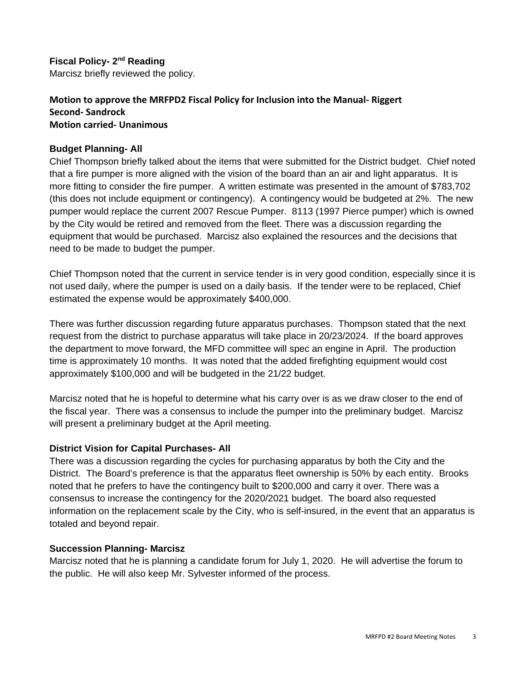**Fiscal Policy- 2nd Reading** Marcisz briefly reviewed the policy.

## **Motion to approve the MRFPD2 Fiscal Policy for Inclusion into the Manual- Riggert Second- Sandrock Motion carried- Unanimous**

# **Budget Planning- All**

Chief Thompson briefly talked about the items that were submitted for the District budget. Chief noted that a fire pumper is more aligned with the vision of the board than an air and light apparatus. It is more fitting to consider the fire pumper. A written estimate was presented in the amount of \$783,702 (this does not include equipment or contingency). A contingency would be budgeted at 2%. The new pumper would replace the current 2007 Rescue Pumper. 8113 (1997 Pierce pumper) which is owned by the City would be retired and removed from the fleet. There was a discussion regarding the equipment that would be purchased. Marcisz also explained the resources and the decisions that need to be made to budget the pumper.

Chief Thompson noted that the current in service tender is in very good condition, especially since it is not used daily, where the pumper is used on a daily basis. If the tender were to be replaced, Chief estimated the expense would be approximately \$400,000.

There was further discussion regarding future apparatus purchases. Thompson stated that the next request from the district to purchase apparatus will take place in 20/23/2024. If the board approves the department to move forward, the MFD committee will spec an engine in April. The production time is approximately 10 months. It was noted that the added firefighting equipment would cost approximately \$100,000 and will be budgeted in the 21/22 budget.

Marcisz noted that he is hopeful to determine what his carry over is as we draw closer to the end of the fiscal year. There was a consensus to include the pumper into the preliminary budget. Marcisz will present a preliminary budget at the April meeting.

## **District Vision for Capital Purchases- All**

There was a discussion regarding the cycles for purchasing apparatus by both the City and the District. The Board's preference is that the apparatus fleet ownership is 50% by each entity. Brooks noted that he prefers to have the contingency built to \$200,000 and carry it over. There was a consensus to increase the contingency for the 2020/2021 budget. The board also requested information on the replacement scale by the City, who is self-insured, in the event that an apparatus is totaled and beyond repair.

## **Succession Planning- Marcisz**

Marcisz noted that he is planning a candidate forum for July 1, 2020. He will advertise the forum to the public. He will also keep Mr. Sylvester informed of the process.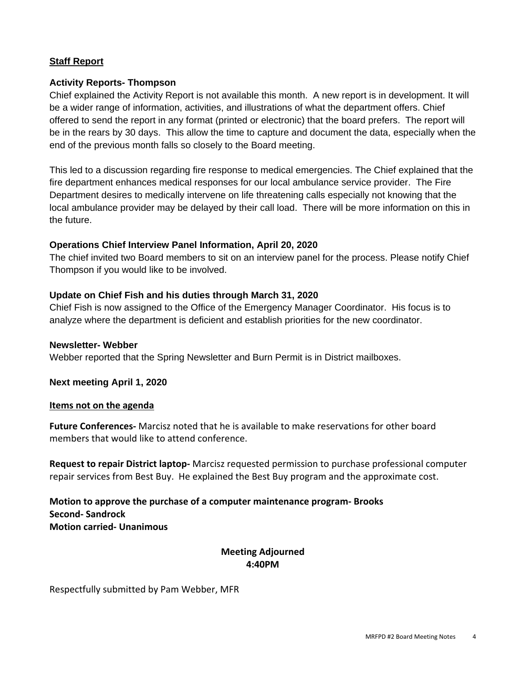# **Staff Report**

## **Activity Reports- Thompson**

Chief explained the Activity Report is not available this month. A new report is in development. It will be a wider range of information, activities, and illustrations of what the department offers. Chief offered to send the report in any format (printed or electronic) that the board prefers. The report will be in the rears by 30 days. This allow the time to capture and document the data, especially when the end of the previous month falls so closely to the Board meeting.

This led to a discussion regarding fire response to medical emergencies. The Chief explained that the fire department enhances medical responses for our local ambulance service provider. The Fire Department desires to medically intervene on life threatening calls especially not knowing that the local ambulance provider may be delayed by their call load. There will be more information on this in the future.

# **Operations Chief Interview Panel Information, April 20, 2020**

The chief invited two Board members to sit on an interview panel for the process. Please notify Chief Thompson if you would like to be involved.

# **Update on Chief Fish and his duties through March 31, 2020**

Chief Fish is now assigned to the Office of the Emergency Manager Coordinator. His focus is to analyze where the department is deficient and establish priorities for the new coordinator.

### **Newsletter- Webber**

Webber reported that the Spring Newsletter and Burn Permit is in District mailboxes.

**Next meeting April 1, 2020**

#### **Items not on the agenda**

**Future Conferences-** Marcisz noted that he is available to make reservations for other board members that would like to attend conference.

**Request to repair District laptop-** Marcisz requested permission to purchase professional computer repair services from Best Buy. He explained the Best Buy program and the approximate cost.

**Motion to approve the purchase of a computer maintenance program- Brooks Second- Sandrock Motion carried- Unanimous** 

# **Meeting Adjourned 4:40PM**

Respectfully submitted by Pam Webber, MFR